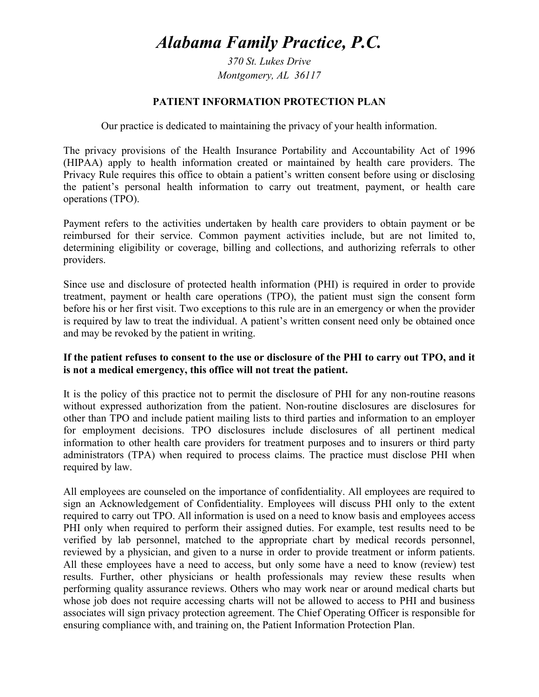# *Alabama Family Practice, P.C.*

*370 St. Lukes Drive Montgomery, AL 36117* 

#### **PATIENT INFORMATION PROTECTION PLAN**

Our practice is dedicated to maintaining the privacy of your health information.

The privacy provisions of the Health Insurance Portability and Accountability Act of 1996 (HIPAA) apply to health information created or maintained by health care providers. The Privacy Rule requires this office to obtain a patient's written consent before using or disclosing the patient's personal health information to carry out treatment, payment, or health care operations (TPO).

Payment refers to the activities undertaken by health care providers to obtain payment or be reimbursed for their service. Common payment activities include, but are not limited to, determining eligibility or coverage, billing and collections, and authorizing referrals to other providers.

Since use and disclosure of protected health information (PHI) is required in order to provide treatment, payment or health care operations (TPO), the patient must sign the consent form before his or her first visit. Two exceptions to this rule are in an emergency or when the provider is required by law to treat the individual. A patient's written consent need only be obtained once and may be revoked by the patient in writing.

### **If the patient refuses to consent to the use or disclosure of the PHI to carry out TPO, and it is not a medical emergency, this office will not treat the patient.**

It is the policy of this practice not to permit the disclosure of PHI for any non-routine reasons without expressed authorization from the patient. Non-routine disclosures are disclosures for other than TPO and include patient mailing lists to third parties and information to an employer for employment decisions. TPO disclosures include disclosures of all pertinent medical information to other health care providers for treatment purposes and to insurers or third party administrators (TPA) when required to process claims. The practice must disclose PHI when required by law.

All employees are counseled on the importance of confidentiality. All employees are required to sign an Acknowledgement of Confidentiality. Employees will discuss PHI only to the extent required to carry out TPO. All information is used on a need to know basis and employees access PHI only when required to perform their assigned duties. For example, test results need to be verified by lab personnel, matched to the appropriate chart by medical records personnel, reviewed by a physician, and given to a nurse in order to provide treatment or inform patients. All these employees have a need to access, but only some have a need to know (review) test results. Further, other physicians or health professionals may review these results when performing quality assurance reviews. Others who may work near or around medical charts but whose job does not require accessing charts will not be allowed to access to PHI and business associates will sign privacy protection agreement. The Chief Operating Officer is responsible for ensuring compliance with, and training on, the Patient Information Protection Plan.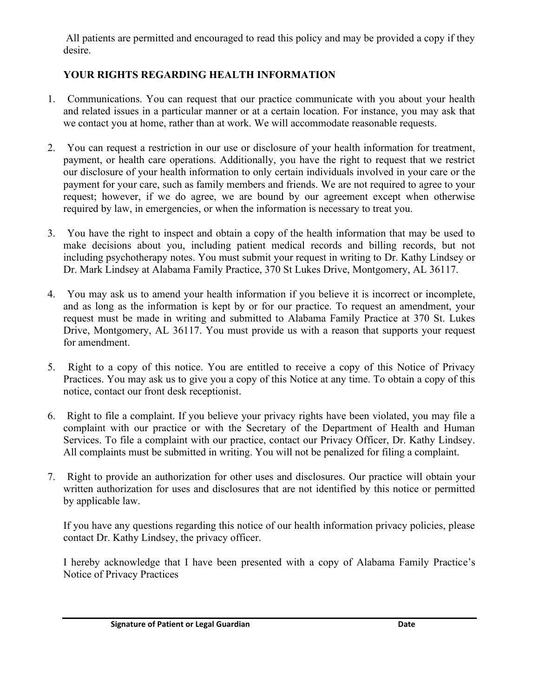All patients are permitted and encouraged to read this policy and may be provided a copy if they desire.

### **YOUR RIGHTS REGARDING HEALTH INFORMATION**

- 1. Communications. You can request that our practice communicate with you about your health and related issues in a particular manner or at a certain location. For instance, you may ask that we contact you at home, rather than at work. We will accommodate reasonable requests.
- 2. You can request a restriction in our use or disclosure of your health information for treatment, payment, or health care operations. Additionally, you have the right to request that we restrict our disclosure of your health information to only certain individuals involved in your care or the payment for your care, such as family members and friends. We are not required to agree to your request; however, if we do agree, we are bound by our agreement except when otherwise required by law, in emergencies, or when the information is necessary to treat you.
- 3. You have the right to inspect and obtain a copy of the health information that may be used to make decisions about you, including patient medical records and billing records, but not including psychotherapy notes. You must submit your request in writing to Dr. Kathy Lindsey or Dr. Mark Lindsey at Alabama Family Practice, 370 St Lukes Drive, Montgomery, AL 36117.
- 4. You may ask us to amend your health information if you believe it is incorrect or incomplete, and as long as the information is kept by or for our practice. To request an amendment, your request must be made in writing and submitted to Alabama Family Practice at 370 St. Lukes Drive, Montgomery, AL 36117. You must provide us with a reason that supports your request for amendment.
- 5. Right to a copy of this notice. You are entitled to receive a copy of this Notice of Privacy Practices. You may ask us to give you a copy of this Notice at any time. To obtain a copy of this notice, contact our front desk receptionist.
- 6. Right to file a complaint. If you believe your privacy rights have been violated, you may file a complaint with our practice or with the Secretary of the Department of Health and Human Services. To file a complaint with our practice, contact our Privacy Officer, Dr. Kathy Lindsey. All complaints must be submitted in writing. You will not be penalized for filing a complaint.
- 7. Right to provide an authorization for other uses and disclosures. Our practice will obtain your written authorization for uses and disclosures that are not identified by this notice or permitted by applicable law.

If you have any questions regarding this notice of our health information privacy policies, please contact Dr. Kathy Lindsey, the privacy officer.

I hereby acknowledge that I have been presented with a copy of Alabama Family Practice's Notice of Privacy Practices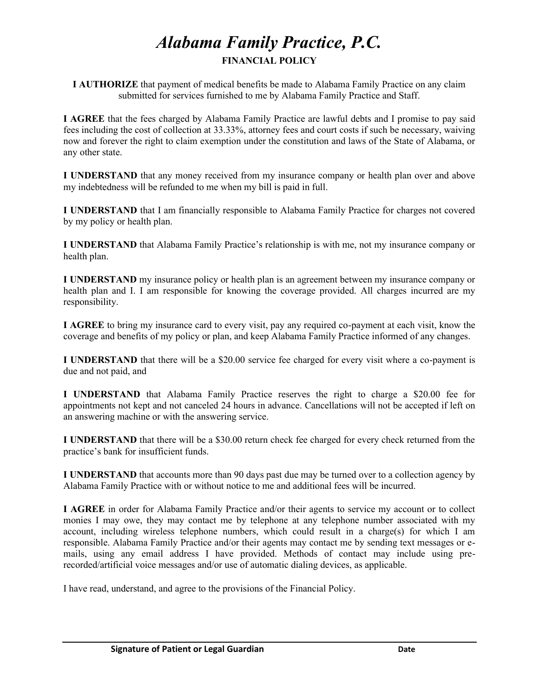## *Alabama Family Practice, P.C.*  **FINANCIAL POLICY**

**I AUTHORIZE** that payment of medical benefits be made to Alabama Family Practice on any claim submitted for services furnished to me by Alabama Family Practice and Staff.

**I AGREE** that the fees charged by Alabama Family Practice are lawful debts and I promise to pay said fees including the cost of collection at 33.33%, attorney fees and court costs if such be necessary, waiving now and forever the right to claim exemption under the constitution and laws of the State of Alabama, or any other state.

**I UNDERSTAND** that any money received from my insurance company or health plan over and above my indebtedness will be refunded to me when my bill is paid in full.

**I UNDERSTAND** that I am financially responsible to Alabama Family Practice for charges not covered by my policy or health plan.

**I UNDERSTAND** that Alabama Family Practice's relationship is with me, not my insurance company or health plan.

**I UNDERSTAND** my insurance policy or health plan is an agreement between my insurance company or health plan and I. I am responsible for knowing the coverage provided. All charges incurred are my responsibility.

**I AGREE** to bring my insurance card to every visit, pay any required co-payment at each visit, know the coverage and benefits of my policy or plan, and keep Alabama Family Practice informed of any changes.

**I UNDERSTAND** that there will be a \$20.00 service fee charged for every visit where a co-payment is due and not paid, and

**I UNDERSTAND** that Alabama Family Practice reserves the right to charge a \$20.00 fee for appointments not kept and not canceled 24 hours in advance. Cancellations will not be accepted if left on an answering machine or with the answering service.

**I UNDERSTAND** that there will be a \$30.00 return check fee charged for every check returned from the practice's bank for insufficient funds.

**I UNDERSTAND** that accounts more than 90 days past due may be turned over to a collection agency by Alabama Family Practice with or without notice to me and additional fees will be incurred.

**I AGREE** in order for Alabama Family Practice and/or their agents to service my account or to collect monies I may owe, they may contact me by telephone at any telephone number associated with my account, including wireless telephone numbers, which could result in a charge(s) for which I am responsible. Alabama Family Practice and/or their agents may contact me by sending text messages or emails, using any email address I have provided. Methods of contact may include using prerecorded/artificial voice messages and/or use of automatic dialing devices, as applicable.

I have read, understand, and agree to the provisions of the Financial Policy.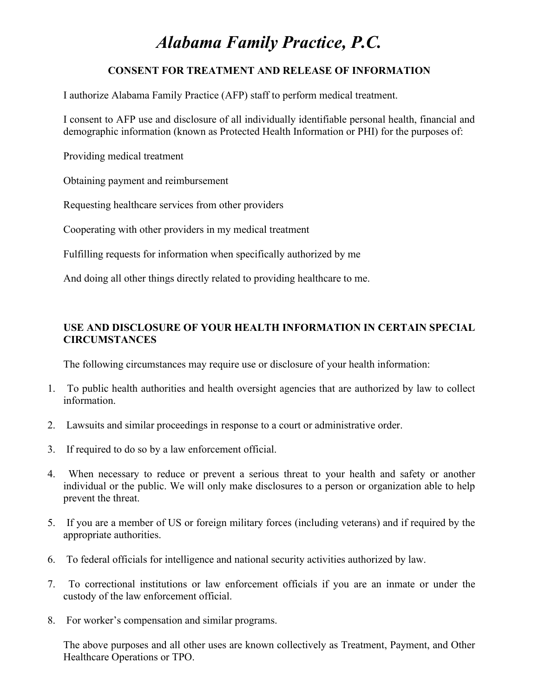# *Alabama Family Practice, P.C.*

### **CONSENT FOR TREATMENT AND RELEASE OF INFORMATION**

I authorize Alabama Family Practice (AFP) staff to perform medical treatment.

I consent to AFP use and disclosure of all individually identifiable personal health, financial and demographic information (known as Protected Health Information or PHI) for the purposes of:

Providing medical treatment

Obtaining payment and reimbursement

Requesting healthcare services from other providers

Cooperating with other providers in my medical treatment

Fulfilling requests for information when specifically authorized by me

And doing all other things directly related to providing healthcare to me.

### **USE AND DISCLOSURE OF YOUR HEALTH INFORMATION IN CERTAIN SPECIAL CIRCUMSTANCES**

The following circumstances may require use or disclosure of your health information:

- 1. To public health authorities and health oversight agencies that are authorized by law to collect information.
- 2. Lawsuits and similar proceedings in response to a court or administrative order.
- 3. If required to do so by a law enforcement official.
- 4. When necessary to reduce or prevent a serious threat to your health and safety or another individual or the public. We will only make disclosures to a person or organization able to help prevent the threat.
- 5. If you are a member of US or foreign military forces (including veterans) and if required by the appropriate authorities.
- 6. To federal officials for intelligence and national security activities authorized by law.
- 7. To correctional institutions or law enforcement officials if you are an inmate or under the custody of the law enforcement official.
- 8. For worker's compensation and similar programs.

The above purposes and all other uses are known collectively as Treatment, Payment, and Other Healthcare Operations or TPO.